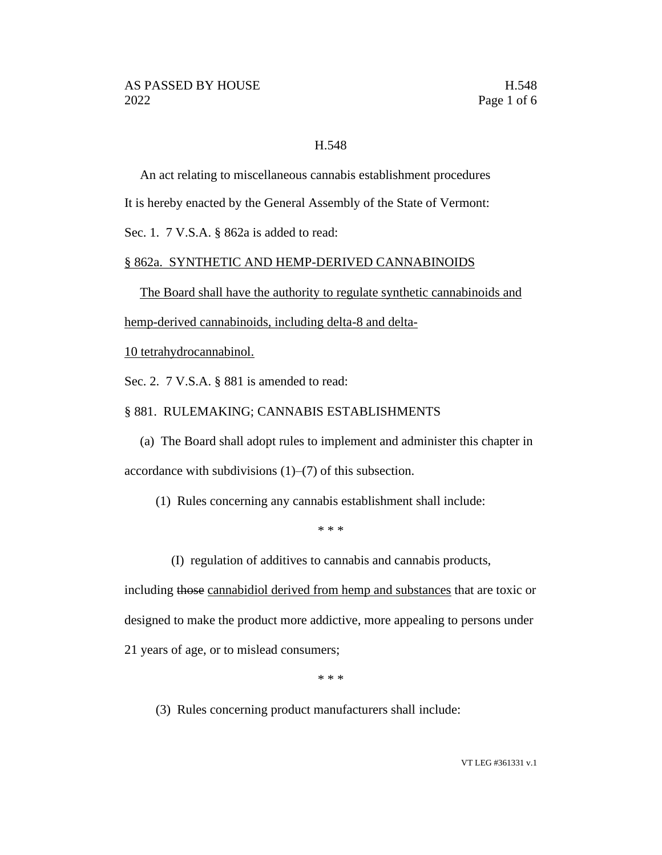# H.548

An act relating to miscellaneous cannabis establishment procedures

It is hereby enacted by the General Assembly of the State of Vermont:

Sec. 1. 7 V.S.A. § 862a is added to read:

## § 862a. SYNTHETIC AND HEMP-DERIVED CANNABINOIDS

The Board shall have the authority to regulate synthetic cannabinoids and

hemp-derived cannabinoids, including delta-8 and delta-

10 tetrahydrocannabinol.

Sec. 2. 7 V.S.A. § 881 is amended to read:

## § 881. RULEMAKING; CANNABIS ESTABLISHMENTS

(a) The Board shall adopt rules to implement and administer this chapter in accordance with subdivisions (1)–(7) of this subsection.

(1) Rules concerning any cannabis establishment shall include:

\* \* \*

(I) regulation of additives to cannabis and cannabis products,

including those cannabidiol derived from hemp and substances that are toxic or designed to make the product more addictive, more appealing to persons under 21 years of age, or to mislead consumers;

\* \* \*

(3) Rules concerning product manufacturers shall include: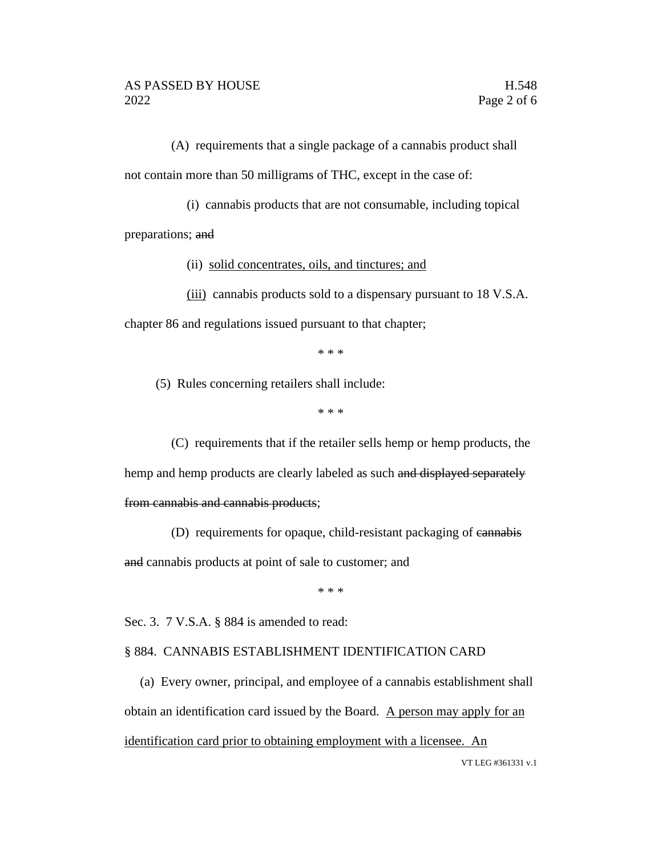(A) requirements that a single package of a cannabis product shall not contain more than 50 milligrams of THC, except in the case of:

(i) cannabis products that are not consumable, including topical

preparations; and

(ii) solid concentrates, oils, and tinctures; and

(iii) cannabis products sold to a dispensary pursuant to 18 V.S.A. chapter 86 and regulations issued pursuant to that chapter;

\* \* \*

(5) Rules concerning retailers shall include:

\* \* \*

(C) requirements that if the retailer sells hemp or hemp products, the hemp and hemp products are clearly labeled as such and displayed separately from cannabis and cannabis products;

(D) requirements for opaque, child-resistant packaging of cannabis

and cannabis products at point of sale to customer; and

\* \* \*

Sec. 3. 7 V.S.A. § 884 is amended to read:

#### § 884. CANNABIS ESTABLISHMENT IDENTIFICATION CARD

(a) Every owner, principal, and employee of a cannabis establishment shall obtain an identification card issued by the Board. A person may apply for an identification card prior to obtaining employment with a licensee. An

VT LEG #361331 v.1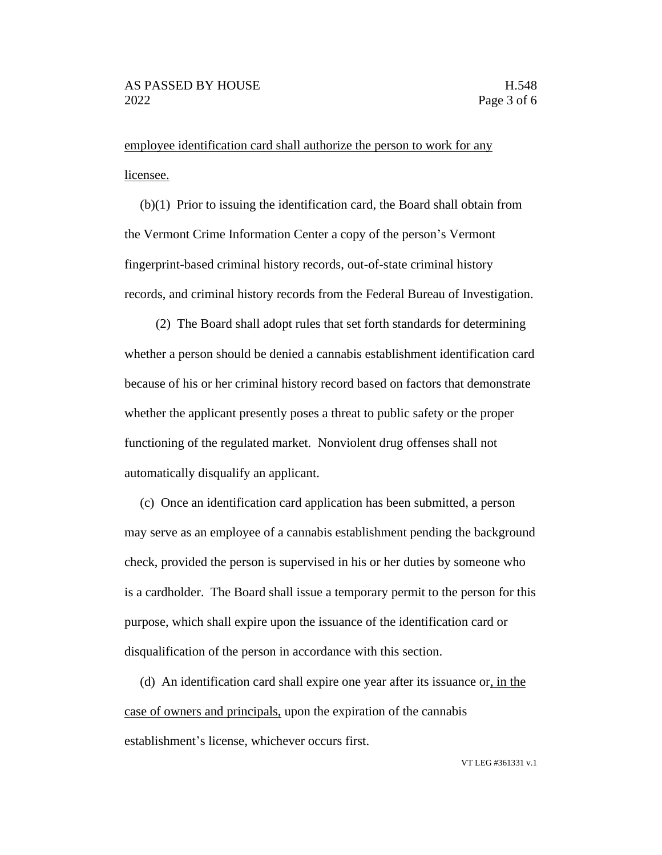employee identification card shall authorize the person to work for any licensee.

(b)(1) Prior to issuing the identification card, the Board shall obtain from the Vermont Crime Information Center a copy of the person's Vermont fingerprint-based criminal history records, out-of-state criminal history records, and criminal history records from the Federal Bureau of Investigation.

(2) The Board shall adopt rules that set forth standards for determining whether a person should be denied a cannabis establishment identification card because of his or her criminal history record based on factors that demonstrate whether the applicant presently poses a threat to public safety or the proper functioning of the regulated market. Nonviolent drug offenses shall not automatically disqualify an applicant.

(c) Once an identification card application has been submitted, a person may serve as an employee of a cannabis establishment pending the background check, provided the person is supervised in his or her duties by someone who is a cardholder. The Board shall issue a temporary permit to the person for this purpose, which shall expire upon the issuance of the identification card or disqualification of the person in accordance with this section.

(d) An identification card shall expire one year after its issuance or, in the case of owners and principals, upon the expiration of the cannabis establishment's license, whichever occurs first.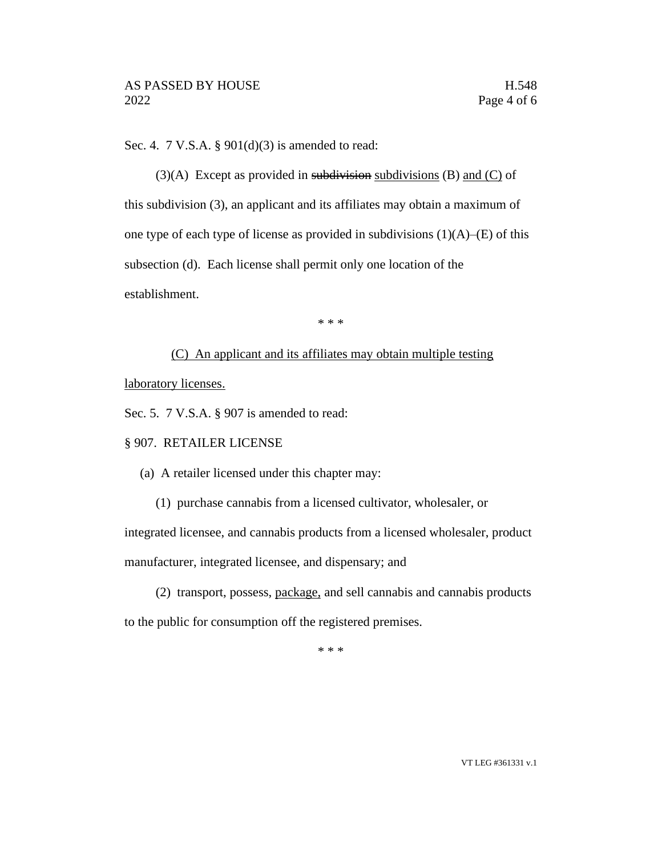Sec. 4. 7 V.S.A.  $\S 901(d)(3)$  is amended to read:

 $(3)(A)$  Except as provided in subdivisions (B) and (C) of this subdivision (3), an applicant and its affiliates may obtain a maximum of one type of each type of license as provided in subdivisions  $(1)(A)$ – $(E)$  of this subsection (d). Each license shall permit only one location of the establishment.

\* \* \*

## (C) An applicant and its affiliates may obtain multiple testing

laboratory licenses.

Sec. 5. 7 V.S.A. § 907 is amended to read:

#### § 907. RETAILER LICENSE

(a) A retailer licensed under this chapter may:

(1) purchase cannabis from a licensed cultivator, wholesaler, or integrated licensee, and cannabis products from a licensed wholesaler, product manufacturer, integrated licensee, and dispensary; and

(2) transport, possess, package, and sell cannabis and cannabis products to the public for consumption off the registered premises.

\* \* \*

VT LEG #361331 v.1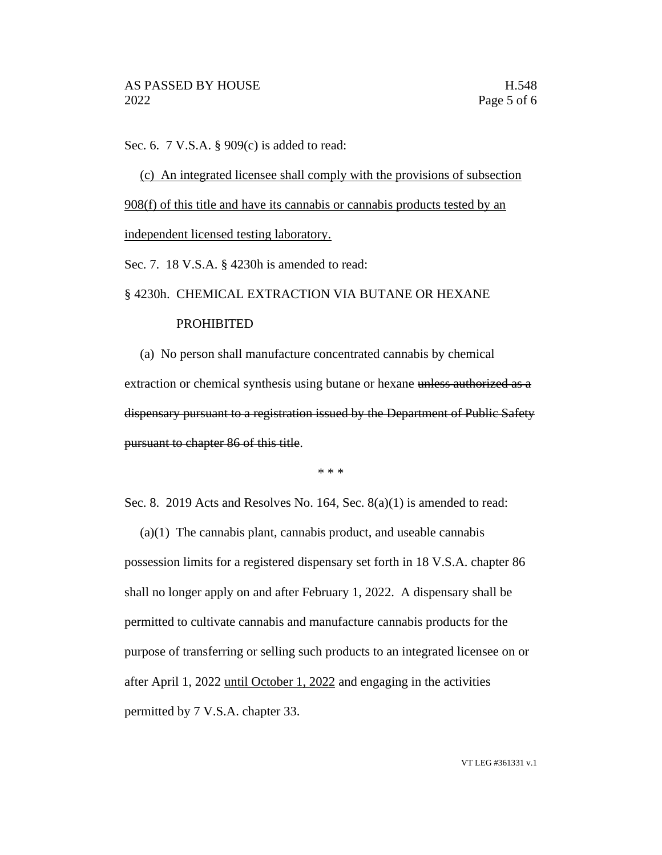Sec. 6. 7 V.S.A. § 909(c) is added to read:

(c) An integrated licensee shall comply with the provisions of subsection 908(f) of this title and have its cannabis or cannabis products tested by an independent licensed testing laboratory.

Sec. 7. 18 V.S.A. § 4230h is amended to read:

#### § 4230h. CHEMICAL EXTRACTION VIA BUTANE OR HEXANE

#### **PROHIBITED**

(a) No person shall manufacture concentrated cannabis by chemical extraction or chemical synthesis using butane or hexane unless authorized as a dispensary pursuant to a registration issued by the Department of Public Safety pursuant to chapter 86 of this title.

\* \* \*

Sec. 8. 2019 Acts and Resolves No. 164, Sec. 8(a)(1) is amended to read:

(a)(1) The cannabis plant, cannabis product, and useable cannabis possession limits for a registered dispensary set forth in 18 V.S.A. chapter 86 shall no longer apply on and after February 1, 2022. A dispensary shall be permitted to cultivate cannabis and manufacture cannabis products for the purpose of transferring or selling such products to an integrated licensee on or after April 1, 2022 until October 1, 2022 and engaging in the activities permitted by 7 V.S.A. chapter 33.